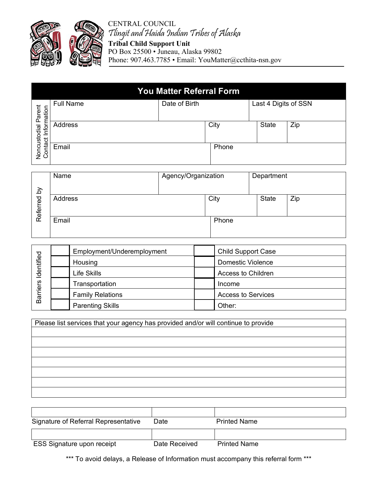

CENTRAL COUNCIL Tlingit and Haida Indian Tribes of Alaska **Tribal Child Support Unit** PO Box 25500 • Juneau, Alaska 99802 Phone: 907.463.7785 • Email: YouMatter@ccthita-nsn.gov

|                                                      | <b>You Matter Referral Form</b> |               |       |                      |     |  |
|------------------------------------------------------|---------------------------------|---------------|-------|----------------------|-----|--|
| Parent<br>mation<br>Noncustodial F<br>Contact Inforn | <b>Full Name</b>                | Date of Birth |       | Last 4 Digits of SSN |     |  |
|                                                      | Address                         |               | City  | <b>State</b>         | Zip |  |
|                                                      | Email                           |               | Phone |                      |     |  |

| Name    |  |      | Department                   |       |
|---------|--|------|------------------------------|-------|
|         |  |      |                              |       |
| Address |  |      |                              | Zip   |
| Email   |  |      |                              |       |
|         |  | City | Agency/Organization<br>Phone | State |

| Identified<br><b>Barriers</b> | Employment/Underemployment | <b>Child Support Case</b> |  |
|-------------------------------|----------------------------|---------------------------|--|
|                               | Housing                    | Domestic Violence         |  |
|                               | Life Skills                | <b>Access to Children</b> |  |
|                               | Transportation             | Income                    |  |
|                               | <b>Family Relations</b>    | <b>Access to Services</b> |  |
|                               | <b>Parenting Skills</b>    | Other:                    |  |

| Please list services that your agency has provided and/or will continue to provide |  |  |
|------------------------------------------------------------------------------------|--|--|
|                                                                                    |  |  |
|                                                                                    |  |  |
|                                                                                    |  |  |
|                                                                                    |  |  |
|                                                                                    |  |  |
|                                                                                    |  |  |
|                                                                                    |  |  |

| Signature of Referral Representative | Date          | <b>Printed Name</b> |
|--------------------------------------|---------------|---------------------|
|                                      |               |                     |
| <b>ESS Signature upon receipt</b>    | Date Received | <b>Printed Name</b> |

\*\*\* To avoid delays, a Release of Information must accompany this referral form \*\*\*